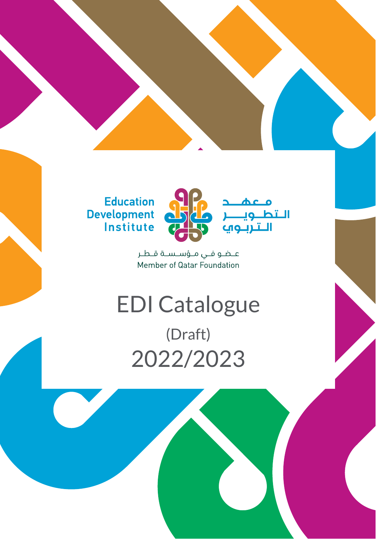



معه

פנ

التط

عـضو فـي مـؤسـسـة قـطـر Member of Qatar Foundation

# EDI Catalogue (Draft) 2022/2023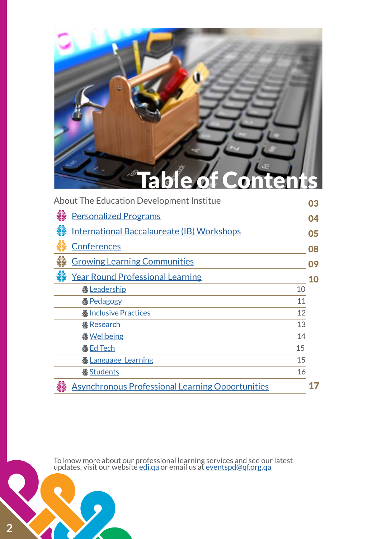

| <b>About The Education Development Institue</b>         |    |    |
|---------------------------------------------------------|----|----|
| <b>Personalized Programs</b>                            |    | 04 |
| <b>International Baccalaureate (IB) Workshops</b>       |    | 05 |
| <b>Conferences</b>                                      |    | 08 |
| <b>Growing Learning Communities</b>                     |    | 09 |
| <b>Year Round Professional Learning</b>                 |    | 10 |
| <b>&amp;Leadership</b>                                  | 10 |    |
| <b>&amp;</b> Pedagogy                                   | 11 |    |
| <b>&amp; Inclusive Practices</b>                        | 12 |    |
| <del><i><b>&amp;</b></i> Research</del>                 | 13 |    |
| <b>&amp;Wellbeing</b>                                   | 14 |    |
| <b>&amp;H</b> Ed Tech                                   | 15 |    |
|                                                         | 15 |    |
| <u> ※Students</u>                                       | 16 |    |
| <b>Asynchronous Professional Learning Opportunities</b> |    |    |

To know more about our professional learning services and see our latest updates, visit our website [edi.qa](http://edi.qa) or email us at [eventspd@qf.org.qa](mailto:mailto:eventspd%40qf.org.qa?subject=)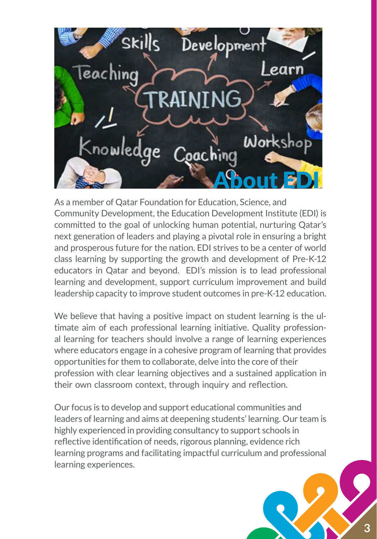

As a member of Qatar Foundation for Education, Science, and Community Development, the Education Development Institute (EDI) is committed to the goal of unlocking human potential, nurturing Qatar's next generation of leaders and playing a pivotal role in ensuring a bright and prosperous future for the nation. EDI strives to be a center of world class learning by supporting the growth and development of Pre-K-12 educators in Qatar and beyond. EDI's mission is to lead professional learning and development, support curriculum improvement and build leadership capacity to improve student outcomes in pre-K-12 education.

We believe that having a positive impact on student learning is the ultimate aim of each professional learning initiative. Quality professional learning for teachers should involve a range of learning experiences where educators engage in a cohesive program of learning that provides opportunities for them to collaborate, delve into the core of their profession with clear learning objectives and a sustained application in their own classroom context, through inquiry and reflection.

Our focus is to develop and support educational communities and leaders of learning and aims at deepening students' learning. Our team is highly experienced in providing consultancy to support schools in reflective identification of needs, rigorous planning, evidence rich learning programs and facilitating impactful curriculum and professional learning experiences.

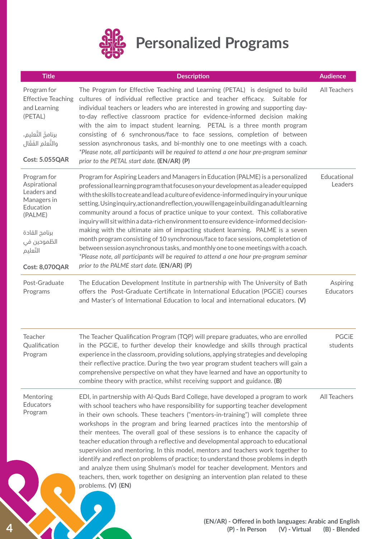

<span id="page-3-0"></span>

| <b>Title</b>                                                                                                                                            | <b>Description</b>                                                                                                                                                                                                                                                                                                                                                                                                                                                                                                                                                                                                                                                                                                                                                                                                                                                                                                                                | <b>Audience</b>          |
|---------------------------------------------------------------------------------------------------------------------------------------------------------|---------------------------------------------------------------------------------------------------------------------------------------------------------------------------------------------------------------------------------------------------------------------------------------------------------------------------------------------------------------------------------------------------------------------------------------------------------------------------------------------------------------------------------------------------------------------------------------------------------------------------------------------------------------------------------------------------------------------------------------------------------------------------------------------------------------------------------------------------------------------------------------------------------------------------------------------------|--------------------------|
| Program for<br><b>Effective Teaching</b><br>and Learning<br>(PETAL)<br>برنامجُ التَّعليمِ،                                                              | The Program for Effective Teaching and Learning (PETAL) is designed to build<br>cultures of individual reflective practice and teacher efficacy. Suitable for<br>individual teachers or leaders who are interested in growing and supporting day-<br>to-day reflective classroom practice for evidence-informed decision making<br>with the aim to impact student learning. PETAL is a three month program<br>consisting of 6 synchronous/face to face sessions, completion of between                                                                                                                                                                                                                                                                                                                                                                                                                                                            | All Teachers             |
| والتَّعلمِ الفَعَّالِ<br><b>Cost: 5.055QAR</b>                                                                                                          | session asynchronous tasks, and bi-monthly one to one meetings with a coach.<br>*Please note, all participants will be required to attend a one hour pre-program seminar<br>prior to the PETAL start date. (EN/AR) (P)                                                                                                                                                                                                                                                                                                                                                                                                                                                                                                                                                                                                                                                                                                                            |                          |
| Program for<br>Aspirational<br>Leaders and<br>Managers in<br>Education<br>(PALME)<br>برنامج القادة<br>الطّموحين في<br>التّعليم<br><b>Cost: 8,070QAR</b> | Program for Aspiring Leaders and Managers in Education (PALME) is a personalized<br>professional learning program that focuses on your development as a leader equipped<br>with the skills to create and lead a culture of evidence-informed inquiry in your unique<br>setting. Usinginquiry, action and reflection, you will engage in building anadult learning<br>community around a focus of practice unique to your context. This collaborative<br>inquiry will sit within a data-rich environment to ensure evidence-informed decision-<br>making with the ultimate aim of impacting student learning. PALME is a seven<br>month program consisting of 10 synchronous/face to face sessions, completetion of<br>between session asynchronous tasks, and monthly one to one meetings with a coach.<br>*Please note, all participants will be required to attend a one hour pre-program seminar<br>prior to the PALME start date. (EN/AR) (P) | Educational<br>Leaders   |
| Post-Graduate<br>Programs                                                                                                                               | The Education Development Institute in partnership with The University of Bath<br>offers the Post-Graduate Certificate in International Education (PGCiE) courses<br>and Master's of International Education to local and international educators. (V)                                                                                                                                                                                                                                                                                                                                                                                                                                                                                                                                                                                                                                                                                            | Aspiring<br>Educators    |
| Teacher<br>Qualification<br>Program                                                                                                                     | The Teacher Qualification Program (TQP) will prepare graduates, who are enrolled<br>in the PGCiE, to further develop their knowledge and skills through practical<br>experience in the classroom, providing solutions, applying strategies and developing<br>their reflective practice. During the two year program student teachers will gain a<br>comprehensive perspective on what they have learned and have an opportunity to<br>combine theory with practice, whilst receiving support and guidance. (B)                                                                                                                                                                                                                                                                                                                                                                                                                                    | <b>PGCiE</b><br>students |
| Mentoring<br><b>Educators</b><br>Program                                                                                                                | EDI, in partnership with Al-Quds Bard College, have developed a program to work<br>with school teachers who have responsibility for supporting teacher development<br>in their own schools. These teachers ("mentors-in-training") will complete three<br>workshops in the program and bring learned practices into the mentorship of<br>their mentees. The overall goal of these sessions is to enhance the capacity of<br>teacher education through a reflective and developmental approach to educational<br>supervision and mentoring. In this model, mentors and teachers work together to<br>identify and reflect on problems of practice; to understand those problems in depth<br>and analyze them using Shulman's model for teacher development. Mentors and<br>teachers, then, work together on designing an intervention plan related to these<br>problems. (V) (EN)                                                                   | All Teachers             |
|                                                                                                                                                         | (EN/AR) - Offered in both languages: Arabic and Englisl<br>(P) - In Person<br>(V) - Virtual                                                                                                                                                                                                                                                                                                                                                                                                                                                                                                                                                                                                                                                                                                                                                                                                                                                       | (B) - Blende             |

**4**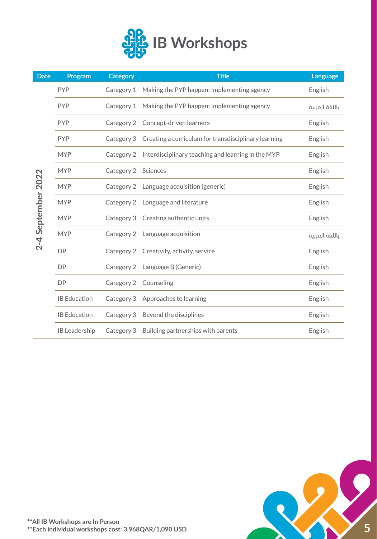

<span id="page-4-0"></span>

| <b>Date</b>        | Program              | <b>Category</b> | <b>Title</b>                                                    | Language       |
|--------------------|----------------------|-----------------|-----------------------------------------------------------------|----------------|
|                    | <b>PYP</b>           | Category 1      | Making the PYP happen: Implementing agency                      | English        |
|                    | <b>PYP</b>           |                 | Category 1 Making the PYP happen: Implementing agency           | باللغة العربية |
|                    | <b>PYP</b>           |                 | Category 2 Concept-driven learners                              | English        |
|                    | <b>PYP</b>           |                 | Category 3 Creating a curriculum for transdisciplinary learning | English        |
|                    | <b>MYP</b>           |                 | Category 2 Interdisciplinary teaching and learning in the MYP   | English        |
|                    | <b>MYP</b>           | Category 2      | Sciences                                                        | English        |
|                    | <b>MYP</b>           |                 | Category 2 Language acquisition (generic)                       | English        |
|                    | <b>MYP</b>           | Category 2      | Language and literature                                         | English        |
|                    | <b>MYP</b>           |                 | Category 3 Creating authentic units                             | English        |
| 2-4 September 2022 | <b>MYP</b>           |                 | Category 2 Language acquisition                                 | باللغة العربية |
|                    | <b>DP</b>            |                 | Category 2 Creativity, activity, service                        | English        |
|                    | DP                   |                 | Category 2 Language B (Generic)                                 | English        |
|                    | <b>DP</b>            | Category 2      | Counseling                                                      | English        |
|                    | <b>IB Education</b>  |                 | Category 3 Approaches to learning                               | English        |
|                    | <b>IB Education</b>  |                 | Category 3 Beyond the disciplines                               | English        |
|                    | <b>IB Leadership</b> |                 | Category 3 Building partnerships with parents                   | English        |

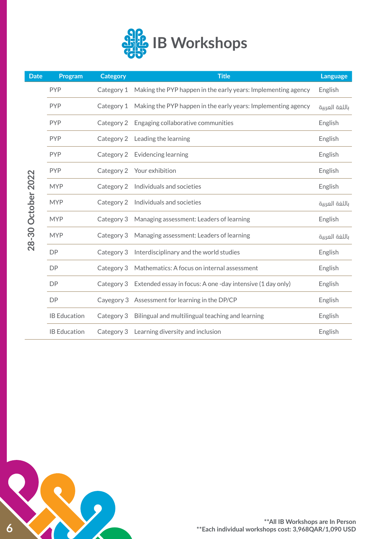

| <b>Date</b>        | Program             | <b>Category</b> | <b>Title</b>                                                         | Language       |
|--------------------|---------------------|-----------------|----------------------------------------------------------------------|----------------|
|                    | <b>PYP</b>          | Category 1      | Making the PYP happen in the early years: Implementing agency        | English        |
|                    | <b>PYP</b>          | Category 1      | Making the PYP happen in the early years: Implementing agency        | باللغة العربية |
|                    | <b>PYP</b>          | Category 2      | Engaging collaborative communities                                   | English        |
|                    | <b>PYP</b>          | Category 2      | Leading the learning                                                 | English        |
|                    | <b>PYP</b>          | Category 2      | Evidencing learning                                                  | English        |
|                    | <b>PYP</b>          | Category 2      | Your exhibition                                                      | English        |
|                    | <b>MYP</b>          |                 | Category 2 Individuals and societies                                 | English        |
| 28-30 October 2022 | <b>MYP</b>          |                 | Category 2 Individuals and societies                                 | باللغة العربية |
|                    | <b>MYP</b>          | Category 3      | Managing assessment: Leaders of learning                             | English        |
|                    | <b>MYP</b>          | Category 3      | Managing assessment: Leaders of learning                             | باللغة العربية |
|                    | <b>DP</b>           | Category 3      | Interdisciplinary and the world studies                              | English        |
|                    | <b>DP</b>           | Category 3      | Mathematics: A focus on internal assessment                          | English        |
|                    | <b>DP</b>           |                 | Category 3 Extended essay in focus: A one-day intensive (1 day only) | English        |
|                    | <b>DP</b>           |                 | Cayegory 3 Assessment for learning in the DP/CP                      | English        |
|                    | <b>IB Education</b> | Category 3      | Bilingual and multilingual teaching and learning                     | English        |
|                    | <b>IB Education</b> |                 | Category 3 Learning diversity and inclusion                          | English        |

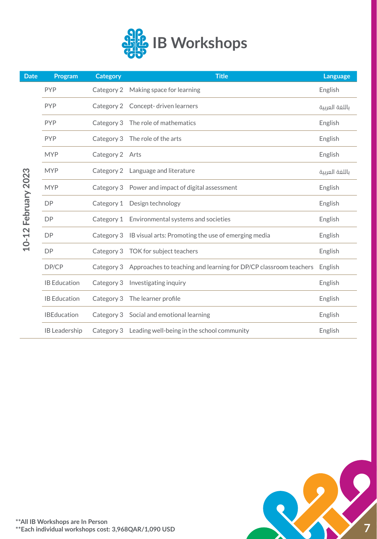

| <b>Date</b>   | Program              | <b>Category</b> | <b>Title</b>                                                     | Language       |
|---------------|----------------------|-----------------|------------------------------------------------------------------|----------------|
|               | <b>PYP</b>           | Category 2      | Making space for learning                                        | English        |
|               | <b>PYP</b>           | Category 2      | Concept-driven learners                                          | باللغة العربية |
|               | <b>PYP</b>           |                 | Category 3 The role of mathematics                               | English        |
|               | <b>PYP</b>           | Category 3      | The role of the arts                                             | English        |
|               | <b>MYP</b>           | Category 2 Arts |                                                                  | English        |
|               | <b>MYP</b>           |                 | Category 2 Language and literature                               | باللغة العربية |
| February 2023 | <b>MYP</b>           |                 | Category 3 Power and impact of digital assessment                | English        |
|               | <b>DP</b>            | Category 1      | Design technology                                                | English        |
|               | <b>DP</b>            |                 | Category 1 Environmental systems and societies                   | English        |
| $10 - 12$     | <b>DP</b>            |                 | Category 3 IB visual arts: Promoting the use of emerging media   | English        |
|               | <b>DP</b>            |                 | Category 3 TOK for subject teachers                              | English        |
|               | DP/CP                | Category 3      | Approaches to teaching and learning for DP/CP classroom teachers | English        |
|               | <b>IB Education</b>  | Category 3      | Investigating inquiry                                            | English        |
|               | <b>IB Education</b>  | Category 3      | The learner profile                                              | English        |
|               | <b>IBEducation</b>   |                 | Category 3 Social and emotional learning                         | English        |
|               | <b>IB</b> Leadership |                 | Category 3 Leading well-being in the school community            | English        |

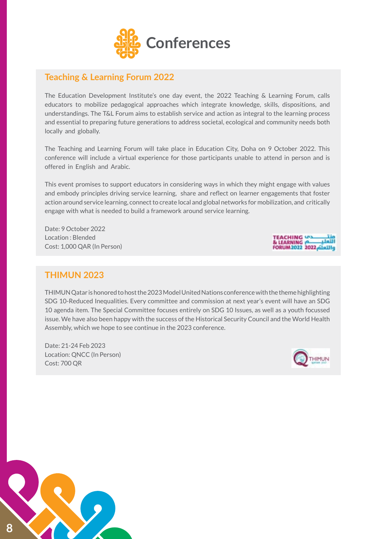

## <span id="page-7-0"></span>**Teaching & Learning Forum 2022**

The Education Development Institute's one day event, the 2022 Teaching & Learning Forum, calls educators to mobilize pedagogical approaches which integrate knowledge, skills, dispositions, and understandings. The T&L Forum aims to establish service and action as integral to the learning process and essential to preparing future generations to address societal, ecological and community needs both locally and globally.

The Teaching and Learning Forum will take place in Education City, Doha on 9 October 2022. This conference will include a virtual experience for those participants unable to attend in person and is offered in English and Arabic.

This event promises to support educators in considering ways in which they might engage with values and embody principles driving service learning, share and reflect on learner engagements that foster action around service learning, connect to create local and global networks for mobilization, and critically engage with what is needed to build a framework around service learning.

Date: 9 October 2022 Location : Blended Cost: 1,000 QAR (In Person)



### **THIMUN 2023**

THIMUN Qatar is honored to host the 2023 Model United Nations conference with the theme highlighting SDG 10-Reduced Inequalities. Every committee and commission at next year's event will have an SDG 10 agenda item. The Special Committee focuses entirely on SDG 10 Issues, as well as a youth focussed issue. We have also been happy with the success of the Historical Security Council and the World Health Assembly, which we hope to see continue in the 2023 conference.

Date: 21-24 Feb 2023 Location: QNCC (In Person) Cost: 700 QR



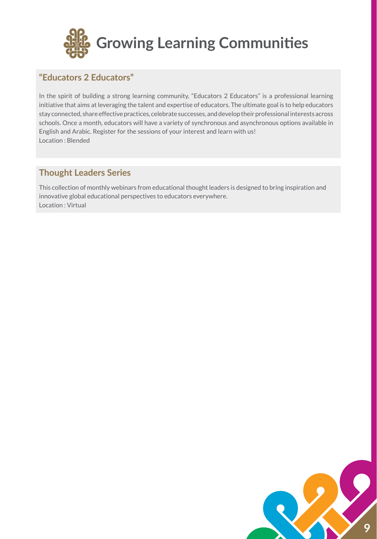<span id="page-8-0"></span>

## **"Educators 2 Educators"**

In the spirit of building a strong learning community, "Educators 2 Educators" is a professional learning initiative that aims at leveraging the talent and expertise of educators. The ultimate goal is to help educators stay connected, share effective practices, celebrate successes, and develop their professional interests across schools. Once a month, educators will have a variety of synchronous and asynchronous options available in English and Arabic. Register for the sessions of your interest and learn with us! Location : Blended

## **Thought Leaders Series**

This collection of monthly webinars from educational thought leaders is designed to bring inspiration and innovative global educational perspectives to educators everywhere. Location : Virtual

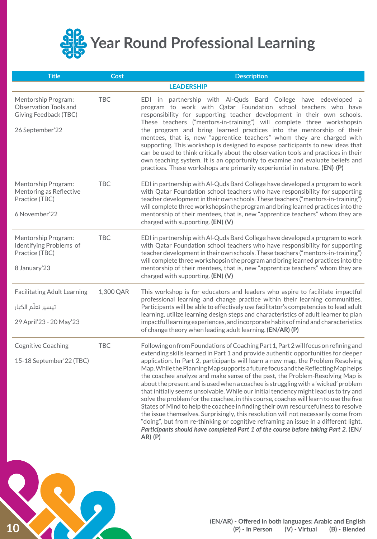<span id="page-9-0"></span>

| <b>Title</b>                                                                             | <b>Cost</b> | <b>Description</b>                                                                                                                                                                                                                                                                                                                                                                                                                                                                                                                                                                                                                                                                                                                                                                                                                                                                                                                                                                                                                                                             |
|------------------------------------------------------------------------------------------|-------------|--------------------------------------------------------------------------------------------------------------------------------------------------------------------------------------------------------------------------------------------------------------------------------------------------------------------------------------------------------------------------------------------------------------------------------------------------------------------------------------------------------------------------------------------------------------------------------------------------------------------------------------------------------------------------------------------------------------------------------------------------------------------------------------------------------------------------------------------------------------------------------------------------------------------------------------------------------------------------------------------------------------------------------------------------------------------------------|
|                                                                                          |             | <b>LEADERSHIP</b>                                                                                                                                                                                                                                                                                                                                                                                                                                                                                                                                                                                                                                                                                                                                                                                                                                                                                                                                                                                                                                                              |
| Mentorship Program:<br>Observation Tools and<br>Giving Feedback (TBC)<br>26 September'22 | <b>TBC</b>  | EDI in partnership with Al-Quds Bard College have edeveloped a<br>program to work with Qatar Foundation school teachers who have<br>responsibility for supporting teacher development in their own schools.<br>These teachers ("mentors-in-training") will complete three workshopsin<br>the program and bring learned practices into the mentorship of their<br>mentees, that is, new "apprentice teachers" whom they are charged with<br>supporting. This workshop is designed to expose participants to new ideas that<br>can be used to think critically about the observation tools and practices in their<br>own teaching system. It is an opportunity to examine and evaluate beliefs and<br>practices. These workshops are primarily experiential in nature. (EN) (P)                                                                                                                                                                                                                                                                                                  |
| Mentorship Program:<br>Mentoring as Reflective<br>Practice (TBC)<br>6 November'22        | <b>TBC</b>  | EDI in partnership with Al-Quds Bard College have developed a program to work<br>with Qatar Foundation school teachers who have responsibility for supporting<br>teacher development in their own schools. These teachers ("mentors-in-training")<br>will complete three workshopsin the program and bring learned practices into the<br>mentorship of their mentees, that is, new "apprentice teachers" whom they are<br>charged with supporting. (EN) (V)                                                                                                                                                                                                                                                                                                                                                                                                                                                                                                                                                                                                                    |
| Mentorship Program:<br>Identifying Problems of<br>Practice (TBC)<br>8 January'23         | <b>TBC</b>  | EDI in partnership with Al-Quds Bard College have developed a program to work<br>with Qatar Foundation school teachers who have responsibility for supporting<br>teacher development in their own schools. These teachers ("mentors-in-training")<br>will complete three workshopsin the program and bring learned practices into the<br>mentorship of their mentees, that is, new "apprentice teachers" whom they are<br>charged with supporting. (EN) (V)                                                                                                                                                                                                                                                                                                                                                                                                                                                                                                                                                                                                                    |
| <b>Facilitating Adult Learning</b><br>تيسير تعلّم الكبار<br>29 April'23 - 20 May'23      | 1,300 QAR   | This workshop is for educators and leaders who aspire to facilitate impactful<br>professional learning and change practice within their learning communities.<br>Participants will be able to effectively use facilitator's competencies to lead adult<br>learning, utilize learning design steps and characteristics of adult learner to plan<br>impactful learning experiences, and incorporate habits of mind and characteristics<br>of change theory when leading adult learning. (EN/AR) (P)                                                                                                                                                                                                                                                                                                                                                                                                                                                                                                                                                                              |
| <b>Cognitive Coaching</b><br>15-18 September'22 (TBC)                                    | <b>TBC</b>  | Following on from Foundations of Coaching Part 1, Part 2 will focus on refining and<br>extending skills learned in Part 1 and provide authentic opportunities for deeper<br>application. In Part 2, participants will learn a new map, the Problem Resolving<br>Map. While the Planning Map supports a future focus and the Reflecting Maphelps<br>the coachee analyze and make sense of the past, the Problem-Resolving Map is<br>about the present and is used when a coachee is struggling with a 'wicked' problem<br>that initially seems unsolvable. While our initial tendency might lead us to try and<br>solve the problem for the coachee, in this course, coaches will learn to use the five<br>States of Mind to help the coachee in finding their own resourcefulness to resolve<br>the issue themselves. Surprisingly, this resolution will not necessarily come from<br>"doing", but from re-thinking or cognitive reframing an issue in a different light.<br>Participants should have completed Part 1 of the course before taking Part 2. (EN/<br>$AR)$ $(P)$ |

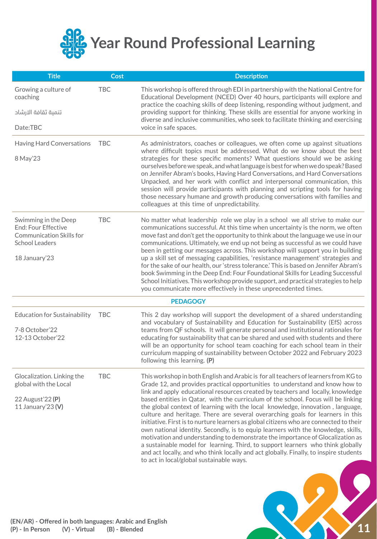<span id="page-10-0"></span>

| <b>Title</b>                                             | <b>Cost</b> | <b>Description</b>                                                                                                                                                                                                                                                                                                                                                                                                                                                                                                                                                                                                                                                                                                                                                                                                                |
|----------------------------------------------------------|-------------|-----------------------------------------------------------------------------------------------------------------------------------------------------------------------------------------------------------------------------------------------------------------------------------------------------------------------------------------------------------------------------------------------------------------------------------------------------------------------------------------------------------------------------------------------------------------------------------------------------------------------------------------------------------------------------------------------------------------------------------------------------------------------------------------------------------------------------------|
| Growing a culture of<br>coaching                         | <b>TBC</b>  | This workshop is offered through EDI in partnership with the National Centre for<br>Educational Development (NCED) Over 40 hours, participants will explore and<br>practice the coaching skills of deep listening, responding without judgment, and                                                                                                                                                                                                                                                                                                                                                                                                                                                                                                                                                                               |
| تنمية ثقافة الارشاد                                      |             | providing support for thinking. These skills are essential for anyone working in<br>diverse and inclusive communities, who seek to facilitate thinking and exercising                                                                                                                                                                                                                                                                                                                                                                                                                                                                                                                                                                                                                                                             |
| Date:TBC                                                 |             | voice in safe spaces.                                                                                                                                                                                                                                                                                                                                                                                                                                                                                                                                                                                                                                                                                                                                                                                                             |
| Having Hard Conversations                                | <b>TBC</b>  | As administrators, coaches or colleagues, we often come up against situations<br>where difficult topics must be addressed. What do we know about the best                                                                                                                                                                                                                                                                                                                                                                                                                                                                                                                                                                                                                                                                         |
| 8 May'23                                                 |             | strategies for these specific moments? What questions should we be asking<br>ourselves before we speak, and what language is best for when we do speak? Based<br>on Jennifer Abram's books, Having Hard Conversations, and Hard Conversations<br>Unpacked, and her work with conflict and interpersonal communication, this<br>session will provide participants with planning and scripting tools for having<br>those necessary humane and growth producing conversations with families and<br>colleagues at this time of unpredictability.                                                                                                                                                                                                                                                                                      |
| Swimming in the Deep<br>End: Four Effective              | <b>TBC</b>  | No matter what leadership role we play in a school we all strive to make our<br>communications successful. At this time when uncertainty is the norm, we often                                                                                                                                                                                                                                                                                                                                                                                                                                                                                                                                                                                                                                                                    |
| <b>Communication Skills for</b><br><b>School Leaders</b> |             | move fast and don't get the opportunity to think about the language we use in our<br>communications. Ultimately, we end up not being as successful as we could have                                                                                                                                                                                                                                                                                                                                                                                                                                                                                                                                                                                                                                                               |
| 18 January'23                                            |             | been in getting our messages across. This workshop will support you in building<br>up a skill set of messaging capabilities, 'resistance management' strategies and                                                                                                                                                                                                                                                                                                                                                                                                                                                                                                                                                                                                                                                               |
|                                                          |             | for the sake of our health, our 'stress tolerance.' This is based on Jennifer Abram's<br>book Swimming in the Deep End: Four Foundational Skills for Leading Successful<br>School Initiatives. This workshop provide support, and practical strategies to help<br>you communicate more effectively in these unprecedented times.                                                                                                                                                                                                                                                                                                                                                                                                                                                                                                  |
|                                                          |             | <b>PEDAGOGY</b>                                                                                                                                                                                                                                                                                                                                                                                                                                                                                                                                                                                                                                                                                                                                                                                                                   |
| <b>Education for Sustainability</b>                      | TBC         | This 2 day workshop will support the development of a shared understanding<br>and vocabulary of Sustainability and Education for Sustainability (EfS) across                                                                                                                                                                                                                                                                                                                                                                                                                                                                                                                                                                                                                                                                      |
| 7-8 October'22<br>12-13 October'22                       |             | teams from QF schools. It will generate personal and institutional rationales for<br>educating for sustainability that can be shared and used with students and there<br>will be an opportunity for school team coaching for each school team in their<br>curriculum mapping of sustainability between October 2022 and February 2023<br>following this learning. (P)                                                                                                                                                                                                                                                                                                                                                                                                                                                             |
| Glocalization. Linking the<br>global with the Local      | <b>TBC</b>  | This workshop in both English and Arabic is for all teachers of learners from KG to<br>Grade 12, and provides practical opportunities to understand and know how to                                                                                                                                                                                                                                                                                                                                                                                                                                                                                                                                                                                                                                                               |
| 22 August'22 (P)<br>11 January'23 (V)                    |             | link and apply educational resources created by teachers and locally, knowledge<br>based entities in Qatar, with the curriculum of the school. Focus will be linking<br>the global context of learning with the local knowledge, innovation, language,<br>culture and heritage. There are several overarching goals for learners in this<br>initiative. First is to nurture learners as global citizens who are connected to their<br>own national identity. Secondly, is to equip learners with the knowledge, skills,<br>motivation and understanding to demonstrate the importance of Glocalization as<br>a sustainable model for learning. Third, to support learners who think globally<br>and act locally, and who think locally and act globally. Finally, to inspire students<br>to act in local/global sustainable ways. |
|                                                          |             |                                                                                                                                                                                                                                                                                                                                                                                                                                                                                                                                                                                                                                                                                                                                                                                                                                   |

**11**

 $\mathbf Q$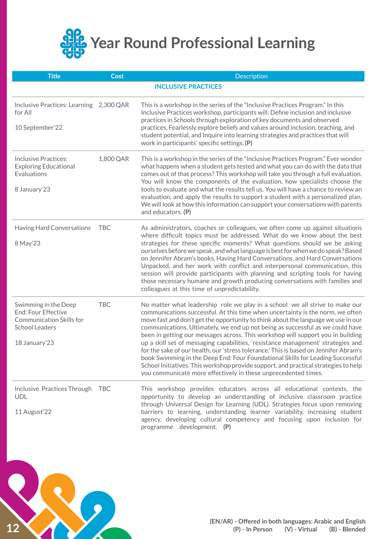<span id="page-11-0"></span>

| <b>Title</b>                                                                                                   | <b>Cost</b> | <b>Description</b>                                                                                                                                                                                                                                                                                                                                                                                                                                                                                                                           |
|----------------------------------------------------------------------------------------------------------------|-------------|----------------------------------------------------------------------------------------------------------------------------------------------------------------------------------------------------------------------------------------------------------------------------------------------------------------------------------------------------------------------------------------------------------------------------------------------------------------------------------------------------------------------------------------------|
|                                                                                                                |             | <b>INCLUSIVE PRACTICES</b>                                                                                                                                                                                                                                                                                                                                                                                                                                                                                                                   |
| Inclusive Practices: Learning<br>for All                                                                       | 2,300 QAR   | This is a workshop in the series of the "Inclusive Practices Program." In this<br>Inclusive Practices workshop, participants will: Define inclusion and inclusive<br>practices in Schools through exploration of key documents and observed                                                                                                                                                                                                                                                                                                  |
| 10 September'22                                                                                                |             | practices, Fearlessly explore beliefs and values around inclusion, teaching, and<br>student potential, and Inquire into learning strategies and practices that will<br>work in participants' specific settings. (P)                                                                                                                                                                                                                                                                                                                          |
| <b>Inclusive Practices:</b><br><b>Exploring Educational</b><br>Evaluations                                     | 1,800 QAR   | This is a workshop in the series of the "Inclusive Practices Program." Ever wonder<br>what happens when a student gets tested and what you can do with the data that<br>comes out of that process? This workshop will take you through a full evaluation.<br>You will know the components of the evaluation, how specialists choose the                                                                                                                                                                                                      |
| 8 January'23                                                                                                   |             | tools to evaluate and what the results tell us. You will have a chance to review an<br>evaluation, and apply the results to support a student with a personalized plan.<br>We will look at how this information can support your conversations with parents<br>and educators. (P)                                                                                                                                                                                                                                                            |
| Having Hard Conversations                                                                                      | <b>TBC</b>  | As administrators, coaches or colleagues, we often come up against situations<br>where difficult topics must be addressed. What do we know about the best                                                                                                                                                                                                                                                                                                                                                                                    |
| 8 May'23                                                                                                       |             | strategies for these specific moments? What questions should we be asking<br>ourselves before we speak, and what language is best for when we do speak? Based<br>on Jennifer Abram's books, Having Hard Conversations, and Hard Conversations<br>Unpacked, and her work with conflict and interpersonal communication, this<br>session will provide participants with planning and scripting tools for having<br>those necessary humane and growth producing conversations with families and<br>colleagues at this time of unpredictability. |
| Swimming in the Deep<br><b>End: Four Effective</b><br><b>Communication Skills for</b><br><b>School Leaders</b> | <b>TBC</b>  | No matter what leadership role we play in a school we all strive to make our<br>communications successful. At this time when uncertainty is the norm, we often<br>move fast and don't get the opportunity to think about the language we use in our<br>communications. Ultimately, we end up not being as successful as we could have<br>been in getting our messages across. This workshop will support you in building                                                                                                                     |
| 18 January'23                                                                                                  |             | up a skill set of messaging capabilities, 'resistance management' strategies and<br>for the sake of our health, our 'stress tolerance.' This is based on Jennifer Abram's<br>book Swimming in the Deep End: Four Foundational Skills for Leading Successful<br>School Initiatives. This workshop provide support, and practical strategies to help<br>you communicate more effectively in these unprecedented times.                                                                                                                         |
| Inclusive Practices Through<br><b>UDL</b>                                                                      | <b>TBC</b>  | This workshop provides educators across all educational contexts, the<br>opportunity to develop an understanding of inclusive classroom practice<br>through Universal Design for Learning (UDL). Strategies focus upon removing                                                                                                                                                                                                                                                                                                              |
| 11 August'22                                                                                                   |             | barriers to learning, understanding learner variability, increasing student<br>agency, developing cultural competency and focusing upon inclusion for<br>programme development. (P)                                                                                                                                                                                                                                                                                                                                                          |

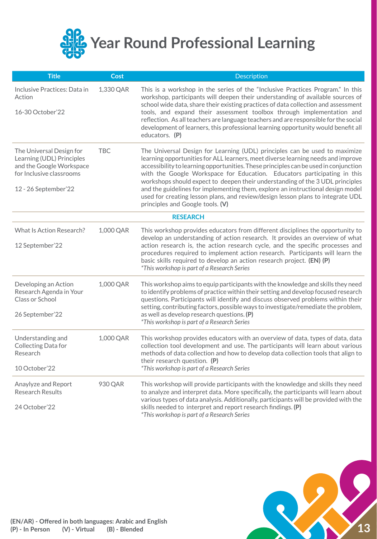<span id="page-12-0"></span>

| <b>Title</b>                                                                                                                          | <b>Cost</b> | Description                                                                                                                                                                                                                                                                                                                                                                                                                                                                                                                                                                                                                   |
|---------------------------------------------------------------------------------------------------------------------------------------|-------------|-------------------------------------------------------------------------------------------------------------------------------------------------------------------------------------------------------------------------------------------------------------------------------------------------------------------------------------------------------------------------------------------------------------------------------------------------------------------------------------------------------------------------------------------------------------------------------------------------------------------------------|
| Inclusive Practices: Data in<br>Action<br>16-30 October'22                                                                            | 1,330 QAR   | This is a workshop in the series of the "Inclusive Practices Program." In this<br>workshop, participants will deepen their understanding of available sources of<br>school wide data, share their existing practices of data collection and assessment<br>tools, and expand their assessment toolbox through implementation and                                                                                                                                                                                                                                                                                               |
|                                                                                                                                       |             | reflection. As all teachers are language teachers and are responsible for the social<br>development of learners, this professional learning opportunity would benefit all<br>educators. (P)                                                                                                                                                                                                                                                                                                                                                                                                                                   |
| The Universal Design for<br>Learning (UDL) Principles<br>and the Google Workspace<br>for Inclusive classrooms<br>12 - 26 September'22 | <b>TBC</b>  | The Universal Design for Learning (UDL) principles can be used to maximize<br>learning opportunities for ALL learners, meet diverse learning needs and improve<br>accessibility to learning opportunities. These principles can be used in conjunction<br>with the Google Workspace for Education. Educators participating in this<br>workshops should expect to deepen their understanding of the 3 UDL principles<br>and the guidelines for implementing them, explore an instructional design model<br>used for creating lesson plans, and review/design lesson plans to integrate UDL<br>principles and Google tools. (V) |
|                                                                                                                                       |             | <b>RESEARCH</b>                                                                                                                                                                                                                                                                                                                                                                                                                                                                                                                                                                                                               |
| What Is Action Research?<br>12 September'22                                                                                           | 1,000 QAR   | This workshop provides educators from different disciplines the opportunity to<br>develop an understanding of action research. It provides an overview of what<br>action research is, the action research cycle, and the specific processes and<br>procedures required to implement action research. Participants will learn the<br>basic skills required to develop an action research project. (EN) (P)<br>*This workshop is part of a Research Series                                                                                                                                                                      |
| Developing an Action<br>Research Agenda in Your<br>Class or School<br>26 September'22                                                 | 1,000 QAR   | This workshop aims to equip participants with the knowledge and skills they need<br>to identify problems of practice within their setting and develop focused research<br>questions. Participants will identify and discuss observed problems within their<br>setting, contributing factors, possible ways to investigate/remediate the problem,<br>as well as develop research questions. (P)<br>*This workshop is part of a Research Series                                                                                                                                                                                 |
| Understanding and<br>Collecting Data for<br>Research<br>10 October'22                                                                 | 1,000 QAR   | This workshop provides educators with an overview of data, types of data, data<br>collection tool development and use. The participants will learn about various<br>methods of data collection and how to develop data collection tools that align to<br>their research question. (P)<br>*This workshop is part of a Research Series                                                                                                                                                                                                                                                                                          |
| Anaylyze and Report<br><b>Research Results</b><br>24 October'22                                                                       | 930 QAR     | This workshop will provide participants with the knowledge and skills they need<br>to analyze and interpret data. More specifically, the participants will learn about<br>various types of data analysis. Additionally, participants will be provided with the<br>skills needed to interpret and report research findings. (P)<br>*This workshop is part of a Research Series                                                                                                                                                                                                                                                 |

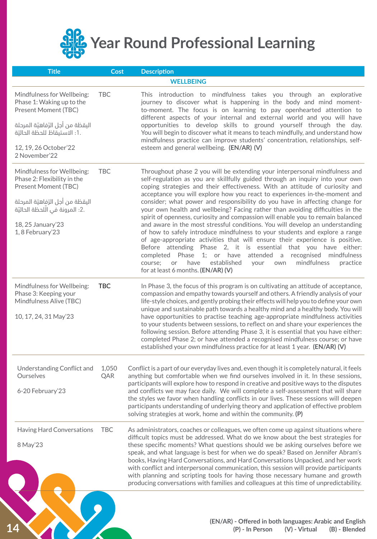<span id="page-13-0"></span>

| <b>Title</b>                                                                                                                                                                                        | <b>Cost</b>  | <b>Description</b>                                                                                                                                                                                                                                                                                                                                                                                                                                                                                                                                                                                                                                                                                                                                                                                                                                                                                                                                                                                                                                                                              |
|-----------------------------------------------------------------------------------------------------------------------------------------------------------------------------------------------------|--------------|-------------------------------------------------------------------------------------------------------------------------------------------------------------------------------------------------------------------------------------------------------------------------------------------------------------------------------------------------------------------------------------------------------------------------------------------------------------------------------------------------------------------------------------------------------------------------------------------------------------------------------------------------------------------------------------------------------------------------------------------------------------------------------------------------------------------------------------------------------------------------------------------------------------------------------------------------------------------------------------------------------------------------------------------------------------------------------------------------|
|                                                                                                                                                                                                     |              | <b>WELLBEING</b>                                                                                                                                                                                                                                                                                                                                                                                                                                                                                                                                                                                                                                                                                                                                                                                                                                                                                                                                                                                                                                                                                |
| Mindfulness for Wellbeing:<br>Phase 1: Waking up to the<br>Present Moment (TBC)<br>اليقظة من أجل الرّفاهيّة المرحلة<br>.1: الاستيقاظ للحظة الحاليّة<br>12, 19, 26 October'22<br>2 November'22       | <b>TBC</b>   | This introduction to mindfulness takes you through an explorative<br>journey to discover what is happening in the body and mind moment-<br>to-moment. The focus is on learning to pay openhearted attention to<br>different aspects of your internal and external world and you will have<br>opportunities to develop skills to ground yourself through the day.<br>You will begin to discover what it means to teach mindfully, and understand how<br>mindfulness practice can improve students' concentration, relationships, self-<br>esteem and general wellbeing. (EN/AR) (V)                                                                                                                                                                                                                                                                                                                                                                                                                                                                                                              |
| Mindfulness for Wellbeing:<br>Phase 2: Flexibility in the<br>Present Moment (TBC)<br>اليقظة من أجل الرّفاهيّة المرحلة<br>.2: المرونة في الَّلحظة الحاليَّة<br>18, 25 January'23<br>1, 8 February'23 | <b>TBC</b>   | Throughout phase 2 you will be extending your interpersonal mindfulness and<br>self-regulation as you are skillfully guided through an inquiry into your own<br>coping strategies and their effectiveness. With an attitude of curiosity and<br>acceptance you will explore how you react to experiences in-the-moment and<br>consider; what power and responsibility do you have in affecting change for<br>your own health and wellbeing? Facing rather than avoiding difficulties in the<br>spirit of openness, curiosity and compassion will enable you to remain balanced<br>and aware in the most stressful conditions. You will develop an understanding<br>of how to safely introduce mindfulness to your students and explore a range<br>of age-appropriate activities that will ensure their experience is positive.<br>Before attending Phase 2, it is essential that you have either:<br>attended a<br>recognised mindfulness<br>completed Phase 1; or have<br>mindfulness<br>have<br>established<br>practice<br>course:<br>or<br>your<br>own<br>for at least 6 months. (EN/AR) (V) |
| Mindfulness for Wellbeing:<br>Phase 3: Keeping your<br>Mindfulness Alive (TBC)<br>10, 17, 24, 31 May'23                                                                                             | <b>TBC</b>   | In Phase 3, the focus of this program is on cultivating an attitude of acceptance,<br>compassion and empathy towards yourself and others. A friendly analysis of your<br>life-style choices, and gently probing their effects will help you to define your own<br>unique and sustainable path towards a healthy mind and a healthy body. You will<br>have opportunities to practise teaching age-appropriate mindfulness activities<br>to your students between sessions, to reflect on and share your experiences the<br>following session. Before attending Phase 3, it is essential that you have either:<br>completed Phase 2; or have attended a recognised mindfulness course; or have<br>established your own mindfulness practice for at least 1 year. (EN/AR) (V)                                                                                                                                                                                                                                                                                                                      |
| Understanding Conflict and<br>Ourselves<br>6-20 February'23                                                                                                                                         | 1,050<br>QAR | Conflict is a part of our everyday lives and, even though it is completely natural, it feels<br>anything but comfortable when we find ourselves involved in it. In these sessions,<br>participants will explore how to respond in creative and positive ways to the disputes<br>and conflicts we may face daily. We will complete a self-assessment that will share<br>the styles we favor when handling conflicts in our lives. These sessions will deepen<br>participants understanding of underlying theory and application of effective problem<br>solving strategies at work, home and within the community. (P)                                                                                                                                                                                                                                                                                                                                                                                                                                                                           |
| Having Hard Conversations<br>8 May'23                                                                                                                                                               | <b>TBC</b>   | As administrators, coaches or colleagues, we often come up against situations where<br>difficult topics must be addressed. What do we know about the best strategies for<br>these specific moments? What questions should we be asking ourselves before we<br>speak, and what language is best for when we do speak? Based on Jennifer Abram's<br>books, Having Hard Conversations, and Hard Conversations Unpacked, and her work<br>with conflict and interpersonal communication, this session will provide participants<br>with planning and scripting tools for having those necessary humane and growth<br>producing conversations with families and colleagues at this time of unpredictability.                                                                                                                                                                                                                                                                                                                                                                                          |
|                                                                                                                                                                                                     |              | (EN/AR) - Offered in both languages: Arabic and English<br>(P) - In Person<br>(V) - Virtual<br>(B) - Blended                                                                                                                                                                                                                                                                                                                                                                                                                                                                                                                                                                                                                                                                                                                                                                                                                                                                                                                                                                                    |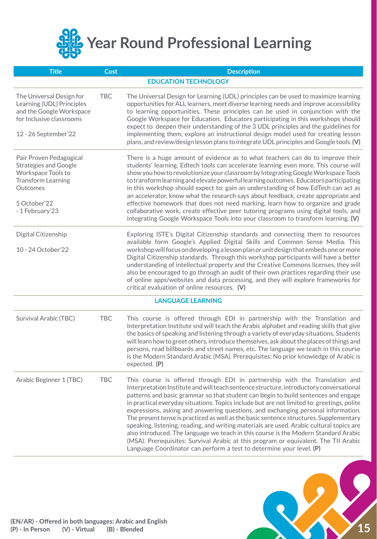<span id="page-14-0"></span>

| <b>Title</b>                                                                                                                                              | <b>Cost</b> | <b>Description</b>                                                                                                                                                                                                                                                                                                                                                                                                                                                                                                                                                                                                                                                                                                                                                                                                                                                                         |
|-----------------------------------------------------------------------------------------------------------------------------------------------------------|-------------|--------------------------------------------------------------------------------------------------------------------------------------------------------------------------------------------------------------------------------------------------------------------------------------------------------------------------------------------------------------------------------------------------------------------------------------------------------------------------------------------------------------------------------------------------------------------------------------------------------------------------------------------------------------------------------------------------------------------------------------------------------------------------------------------------------------------------------------------------------------------------------------------|
|                                                                                                                                                           |             | <b>EDUCATION TECHNOLOGY</b>                                                                                                                                                                                                                                                                                                                                                                                                                                                                                                                                                                                                                                                                                                                                                                                                                                                                |
| The Universal Design for<br>Learning (UDL) Principles<br>and the Google Workspace<br>for Inclusive classrooms<br>12 - 26 September'22                     | <b>TBC</b>  | The Universal Design for Learning (UDL) principles can be used to maximize learning<br>opportunities for ALL learners, meet diverse learning needs and improve accessibility<br>to learning opportunities. These principles can be used in conjunction with the<br>Google Workspace for Education. Educators participating in this workshops should<br>expect to deepen their understanding of the 3 UDL principles and the guidelines for<br>implementing them, explore an instructional design model used for creating lesson<br>plans, and review/design lesson plans to integrate UDL principles and Google tools. (V)                                                                                                                                                                                                                                                                 |
| Pair Proven Pedagogical<br><b>Strategies and Google</b><br>Workspace Tools to<br><b>Transform Learning</b><br>Outcomes<br>5 October'22<br>- 1 February'23 |             | There is a huge amount of evidence as to what teachers can do to improve their<br>students' learning. Edtech tools can accelerate learning even more. This course will<br>show you how to revolutionize your classroom by Integrating Google Workspace Tools<br>to transform learning and elevate powerful learning outcomes. Educators participating<br>in this workshop should expect to: gain an understanding of how EdTech can act as<br>an accelerator, know what the research says about feedback, create appropriate and<br>effective homework that does not need marking, learn how to organize and grade<br>collaborative work, create effective peer tutoring programs using digital tools, and<br>integrating Google Workspace Tools into your classroom to transform learning. (V)                                                                                            |
| Digital Citizenship<br>10 - 24 October'22                                                                                                                 |             | Exploring ISTE's Digital Citizenship standards and connecting them to resources<br>available form Google's Applied Digital Skills and Common Sense Media. This<br>workshop will focus on developing a lesson plan or unit design that embeds one or more<br>Digital Citizenship standards. Through this workshop participants will have a better<br>understanding of intellectual property and the Creative Commons licenses, they will<br>also be encouraged to go through an audit of their own practices regarding their use<br>of online apps/websites and data processing, and they will explore frameworks for<br>critical evaluation of online resources. (V)                                                                                                                                                                                                                       |
|                                                                                                                                                           |             | <b>LANGUAGE LEARNING</b>                                                                                                                                                                                                                                                                                                                                                                                                                                                                                                                                                                                                                                                                                                                                                                                                                                                                   |
| Survival Arabic (TBC)                                                                                                                                     | <b>TBC</b>  | This course is offered through EDI in partnership with the Translation and<br>Interpretation Institute snd will teach the Arabic alphabet and reading skills that give<br>the basics of speaking and listening through a variety of everyday situations. Students<br>will learn how to greet others, introduce themselves, ask about the places of things and<br>persons, read billboards and street names, etc. The language we teach in this course<br>is the Modern Standard Arabic (MSA). Prerequisites: No prior knowledge of Arabic is<br>expected. (P)                                                                                                                                                                                                                                                                                                                              |
| Arabic Beginner 1 (TBC)                                                                                                                                   | <b>TBC</b>  | This course is offered through EDI in partnership with the Translation and<br>Interpretation Institute and will teach sentence structure, introductory conversational<br>patterns and basic grammar so that student can begin to build sentences and engage<br>in practical everyday situations. Topics include but are not limited to: greetings, polite<br>expressions, asking and answering questions, and exchanging personal information.<br>The present tense is practiced as well as the basic sentence structures. Supplementary<br>speaking, listening, reading, and writing materials are used. Arabic cultural topics are<br>also introduced. The language we teach in this course is the Modern Standard Arabic<br>(MSA). Prerequisites: Survival Arabic at this program or equivalent. The TII Arabic<br>Language Coordinator can perform a test to determine your level. (P) |

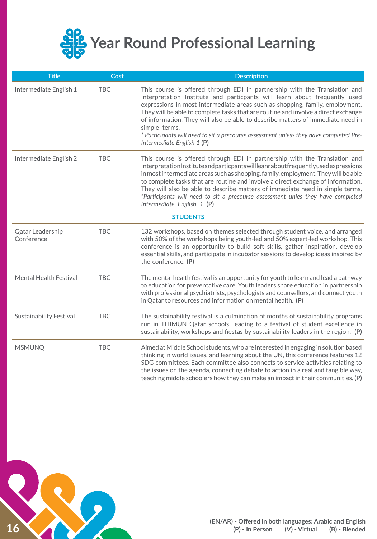<span id="page-15-0"></span>

| <b>Title</b>                   | <b>Cost</b> | <b>Description</b>                                                                                                                                                                                                                                                                                                                                                                                                                                                                                                                                        |  |  |
|--------------------------------|-------------|-----------------------------------------------------------------------------------------------------------------------------------------------------------------------------------------------------------------------------------------------------------------------------------------------------------------------------------------------------------------------------------------------------------------------------------------------------------------------------------------------------------------------------------------------------------|--|--|
| Intermediate English 1         | <b>TBC</b>  | This course is offered through EDI in partnership with the Translation and<br>Interpretation Institute and particpants will learn about frequently used<br>expressions in most intermediate areas such as shopping, family, employment.<br>They will be able to complete tasks that are routine and involve a direct exchange<br>of information. They will also be able to describe matters of immediate need in<br>simple terms.<br>* Participants will need to sit a precourse assessment unless they have completed Pre-<br>Intermediate English 1 (P) |  |  |
| Intermediate English 2         | <b>TBC</b>  | This course is offered through EDI in partnership with the Translation and<br>InterpretationInstituteandparticpantswillleanraboutfrequentlyusedexpressions<br>in most intermediate areas such as shopping, family, employment. They will be able<br>to complete tasks that are routine and involve a direct exchange of information.<br>They will also be able to describe matters of immediate need in simple terms.<br>*Participants will need to sit a precourse assessment unles they have completed<br>Intermediate English 1 (P)                    |  |  |
| <b>STUDENTS</b>                |             |                                                                                                                                                                                                                                                                                                                                                                                                                                                                                                                                                           |  |  |
| Qatar Leadership<br>Conference | <b>TBC</b>  | 132 workshops, based on themes selected through student voice, and arranged<br>with 50% of the workshops being youth-led and 50% expert-led workshop. This<br>conference is an opportunity to build soft skills, gather inspiration, develop<br>essential skills, and participate in incubator sessions to develop ideas inspired by<br>the conference. (P)                                                                                                                                                                                               |  |  |
| Mental Health Festival         | <b>TBC</b>  | The mental health festival is an opportunity for youth to learn and lead a pathway<br>to education for preventative care. Youth leaders share education in partnership<br>with professional psychiatrists, psychologists and counsellors, and connect youth<br>in Qatar to resources and information on mental health. (P)                                                                                                                                                                                                                                |  |  |
| <b>Sustainability Festival</b> | <b>TBC</b>  | The sustainability festival is a culmination of months of sustainability programs<br>run in THIMUN Qatar schools, leading to a festival of student excellence in<br>sustainability, workshops and fiestas by sustainability leaders in the region. (P)                                                                                                                                                                                                                                                                                                    |  |  |
| <b>MSMUNQ</b>                  | <b>TBC</b>  | Aimed at Middle School students, who are interested in engaging in solution based<br>thinking in world issues, and learning about the UN, this conference features 12<br>SDG committees. Each committee also connects to service activities relating to<br>the issues on the agenda, connecting debate to action in a real and tangible way,<br>teaching middle schoolers how they can make an impact in their communities. (P)                                                                                                                           |  |  |

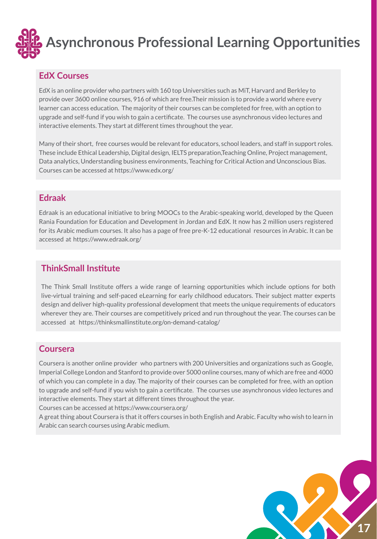<span id="page-16-0"></span>

#### **EdX Courses**

EdX is an online provider who partners with 160 top Universities such as MiT, Harvard and Berkley to provide over 3600 online courses, 916 of which are free.Their mission is to provide a world where every learner can access education. The majority of their courses can be completed for free, with an option to upgrade and self-fund if you wish to gain a certificate. The courses use asynchronous video lectures and interactive elements. They start at different times throughout the year.

Many of their short, free courses would be relevant for educators, school leaders, and staff in support roles. These include Ethical Leadership, Digital design, IELTS preparation,Teaching Online, Project management, Data analytics, Understanding business environments, Teaching for Critical Action and Unconscious Bias. Courses can be accessed at https://www.edx.org/

### **Edraak**

Edraak is an educational initiative to bring MOOCs to the Arabic-speaking world, developed by the Queen Rania Foundation for Education and Development in Jordan and EdX. It now has 2 million users registered for its Arabic medium courses. It also has a page of free pre-K-12 educational resources in Arabic. It can be accessed at https://www.edraak.org/

## **ThinkSmall Institute**

The Think Small Institute offers a wide range of learning opportunities which include options for both live-virtual training and self-paced eLearning for early childhood educators. Their subject matter experts design and deliver high-quality professional development that meets the unique requirements of educators wherever they are. Their courses are competitively priced and run throughout the year. The courses can be accessed at https://thinksmallinstitute.org/on-demand-catalog/

#### **Coursera**

Coursera is another online provider who partners with 200 Universities and organizations such as Google, Imperial College London and Stanford to provide over 5000 online courses, many of which are free and 4000 of which you can complete in a day. The majority of their courses can be completed for free, with an option to upgrade and self-fund if you wish to gain a certificate. The courses use asynchronous video lectures and interactive elements. They start at different times throughout the year.

Courses can be accessed at https://www.coursera.org/

A great thing about Coursera is that it offers courses in both English and Arabic. Faculty who wish to learn in Arabic can search courses using Arabic medium.